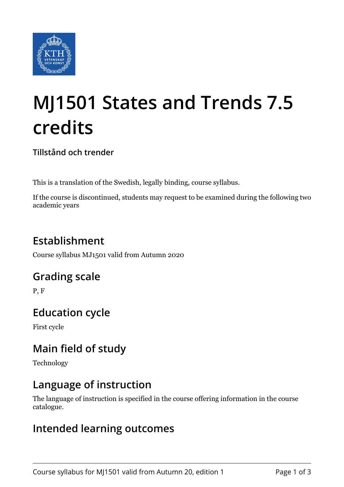

# **MJ1501 States and Trends 7.5 credits**

**Tillstånd och trender**

This is a translation of the Swedish, legally binding, course syllabus.

If the course is discontinued, students may request to be examined during the following two academic years

# **Establishment**

Course syllabus MJ1501 valid from Autumn 2020

# **Grading scale**

P, F

# **Education cycle**

First cycle

# **Main field of study**

Technology

# **Language of instruction**

The language of instruction is specified in the course offering information in the course catalogue.

### **Intended learning outcomes**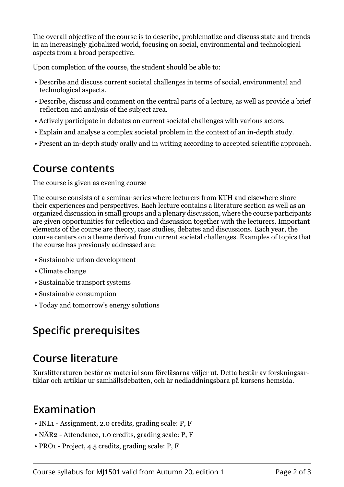The overall objective of the course is to describe, problematize and discuss state and trends in an increasingly globalized world, focusing on social, environmental and technological aspects from a broad perspective.

Upon completion of the course, the student should be able to:

- Describe and discuss current societal challenges in terms of social, environmental and technological aspects.
- Describe, discuss and comment on the central parts of a lecture, as well as provide a brief reflection and analysis of the subject area.
- Actively participate in debates on current societal challenges with various actors.
- Explain and analyse a complex societal problem in the context of an in-depth study.
- Present an in-depth study orally and in writing according to accepted scientific approach.

#### **Course contents**

#### The course is given as evening course

The course consists of a seminar series where lecturers from KTH and elsewhere share their experiences and perspectives. Each lecture contains a literature section as well as an organized discussion in small groups and a plenary discussion, where the course participants are given opportunities for reflection and discussion together with the lecturers. Important elements of the course are theory, case studies, debates and discussions. Each year, the course centers on a theme derived from current societal challenges. Examples of topics that the course has previously addressed are:

- Sustainable urban development
- Climate change
- Sustainable transport systems
- Sustainable consumption
- Today and tomorrow's energy solutions

# **Specific prerequisites**

### **Course literature**

Kurslitteraturen består av material som föreläsarna väljer ut. Detta består av forskningsartiklar och artiklar ur samhällsdebatten, och är nedladdningsbara på kursens hemsida.

### **Examination**

- INL1 Assignment, 2.0 credits, grading scale: P, F
- NÄR2 Attendance, 1.0 credits, grading scale: P, F
- PRO1 Project, 4.5 credits, grading scale: P, F